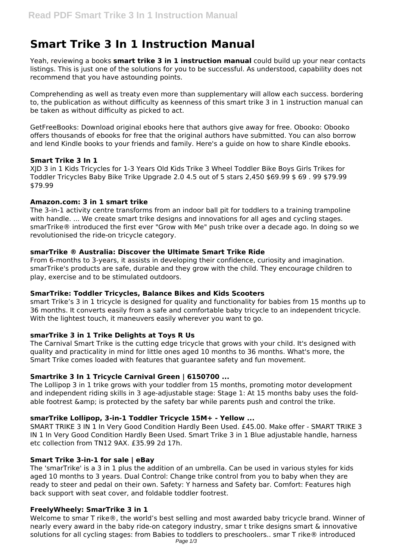# **Smart Trike 3 In 1 Instruction Manual**

Yeah, reviewing a books **smart trike 3 in 1 instruction manual** could build up your near contacts listings. This is just one of the solutions for you to be successful. As understood, capability does not recommend that you have astounding points.

Comprehending as well as treaty even more than supplementary will allow each success. bordering to, the publication as without difficulty as keenness of this smart trike 3 in 1 instruction manual can be taken as without difficulty as picked to act.

GetFreeBooks: Download original ebooks here that authors give away for free. Obooko: Obooko offers thousands of ebooks for free that the original authors have submitted. You can also borrow and lend Kindle books to your friends and family. Here's a guide on how to share Kindle ebooks.

## **Smart Trike 3 In 1**

XJD 3 in 1 Kids Tricycles for 1-3 Years Old Kids Trike 3 Wheel Toddler Bike Boys Girls Trikes for Toddler Tricycles Baby Bike Trike Upgrade 2.0 4.5 out of 5 stars 2,450 \$69.99 \$ 69 . 99 \$79.99 \$79.99

## **Amazon.com: 3 in 1 smart trike**

The 3-in-1 activity centre transforms from an indoor ball pit for toddlers to a training trampoline with handle. ... We create smart trike designs and innovations for all ages and cycling stages. smarTrike® introduced the first ever "Grow with Me" push trike over a decade ago. In doing so we revolutionised the ride-on tricycle category.

## **smarTrike ® Australia: Discover the Ultimate Smart Trike Ride**

From 6-months to 3-years, it assists in developing their confidence, curiosity and imagination. smarTrike's products are safe, durable and they grow with the child. They encourage children to play, exercise and to be stimulated outdoors.

## **SmarTrike: Toddler Tricycles, Balance Bikes and Kids Scooters**

smart Trike's 3 in 1 tricycle is designed for quality and functionality for babies from 15 months up to 36 months. It converts easily from a safe and comfortable baby tricycle to an independent tricycle. With the lightest touch, it maneuvers easily wherever you want to go.

# **smarTrike 3 in 1 Trike Delights at Toys R Us**

The Carnival Smart Trike is the cutting edge tricycle that grows with your child. It's designed with quality and practicality in mind for little ones aged 10 months to 36 months. What's more, the Smart Trike comes loaded with features that guarantee safety and fun movement.

## **Smartrike 3 In 1 Tricycle Carnival Green | 6150700 ...**

The Lollipop 3 in 1 trike grows with your toddler from 15 months, promoting motor development and independent riding skills in 3 age-adjustable stage: Stage 1: At 15 months baby uses the foldable footrest & amp; is protected by the safety bar while parents push and control the trike.

## **smarTrike Lollipop, 3-in-1 Toddler Tricycle 15M+ - Yellow ...**

SMART TRIKE 3 IN 1 In Very Good Condition Hardly Been Used. £45.00. Make offer - SMART TRIKE 3 IN 1 In Very Good Condition Hardly Been Used. Smart Trike 3 in 1 Blue adjustable handle, harness etc collection from TN12 9AX. £35.99 2d 17h.

# **Smart Trike 3-in-1 for sale | eBay**

The 'smarTrike' is a 3 in 1 plus the addition of an umbrella. Can be used in various styles for kids aged 10 months to 3 years. Dual Control: Change trike control from you to baby when they are ready to steer and pedal on their own. Safety: Y harness and Safety bar. Comfort: Features high back support with seat cover, and foldable toddler footrest.

## **FreelyWheely: SmarTrike 3 in 1**

Welcome to smar T rike®, the world's best selling and most awarded baby tricycle brand. Winner of nearly every award in the baby ride-on category industry, smar t trike designs smart & innovative solutions for all cycling stages: from Babies to toddlers to preschoolers.. smar T rike® introduced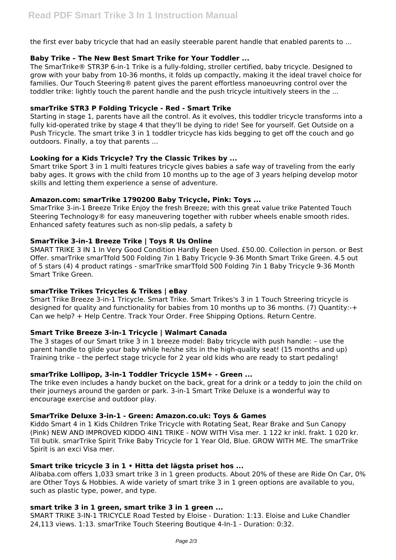the first ever baby tricycle that had an easily steerable parent handle that enabled parents to ...

## **Baby Trike – The New Best Smart Trike for Your Toddler ...**

The SmarTrike® STR3P 6-in-1 Trike is a fully-folding, stroller certified, baby tricycle. Designed to grow with your baby from 10-36 months, it folds up compactly, making it the ideal travel choice for families. Our Touch Steering® patent gives the parent effortless manoeuvring control over the toddler trike: lightly touch the parent handle and the push tricycle intuitively steers in the ...

## **smarTrike STR3 P Folding Tricycle - Red - Smart Trike**

Starting in stage 1, parents have all the control. As it evolves, this toddler tricycle transforms into a fully kid-operated trike by stage 4 that they'll be dying to ride! See for yourself. Get Outside on a Push Tricycle. The smart trike 3 in 1 toddler tricycle has kids begging to get off the couch and go outdoors. Finally, a toy that parents ...

## **Looking for a Kids Tricycle? Try the Classic Trikes by ...**

Smart trike Sport 3 in 1 multi features tricycle gives babies a safe way of traveling from the early baby ages. It grows with the child from 10 months up to the age of 3 years helping develop motor skills and letting them experience a sense of adventure.

## **Amazon.com: smarTrike 1790200 Baby Tricycle, Pink: Toys ...**

SmarTrike 3-in-1 Breeze Trike Enjoy the fresh Breeze; with this great value trike Patented Touch Steering Technology® for easy maneuvering together with rubber wheels enable smooth rides. Enhanced safety features such as non-slip pedals, a safety b

## **SmarTrike 3-in-1 Breeze Trike | Toys R Us Online**

SMART TRIKE 3 IN 1 In Very Good Condition Hardly Been Used. £50.00. Collection in person. or Best Offer. smarTrike smarTfold 500 Folding 7in 1 Baby Tricycle 9-36 Month Smart Trike Green. 4.5 out of 5 stars (4) 4 product ratings - smarTrike smarTfold 500 Folding 7in 1 Baby Tricycle 9-36 Month Smart Trike Green.

# **smarTrike Trikes Tricycles & Trikes | eBay**

Smart Trike Breeze 3-in-1 Tricycle. Smart Trike. Smart Trikes's 3 in 1 Touch Streering tricycle is designed for quality and functionality for babies from 10 months up to 36 months. (7) Quantity:-+ Can we help? + Help Centre. Track Your Order. Free Shipping Options. Return Centre.

# **Smart Trike Breeze 3-in-1 Tricycle | Walmart Canada**

The 3 stages of our Smart trike 3 in 1 breeze model: Baby tricycle with push handle: – use the parent handle to glide your baby while he/she sits in the high-quality seat! (15 months and up) Training trike – the perfect stage tricycle for 2 year old kids who are ready to start pedaling!

# **smarTrike Lollipop, 3-in-1 Toddler Tricycle 15M+ - Green ...**

The trike even includes a handy bucket on the back, great for a drink or a teddy to join the child on their journeys around the garden or park. 3-in-1 Smart Trike Deluxe is a wonderful way to encourage exercise and outdoor play.

## **SmarTrike Deluxe 3-in-1 - Green: Amazon.co.uk: Toys & Games**

Kiddo Smart 4 in 1 Kids Children Trike Tricycle with Rotating Seat, Rear Brake and Sun Canopy (Pink) NEW AND IMPROVED KIDDO 4IN1 TRIKE - NOW WITH Visa mer. 1 122 kr inkl. frakt. 1 020 kr. Till butik. smarTrike Spirit Trike Baby Tricycle for 1 Year Old, Blue. GROW WITH ME. The smarTrike Spirit is an exci Visa mer.

# **Smart trike tricycle 3 in 1 • Hitta det lägsta priset hos ...**

Alibaba.com offers 1,033 smart trike 3 in 1 green products. About 20% of these are Ride On Car, 0% are Other Toys & Hobbies. A wide variety of smart trike 3 in 1 green options are available to you, such as plastic type, power, and type.

## **smart trike 3 in 1 green, smart trike 3 in 1 green ...**

SMART TRIKE 3-IN-1 TRICYCLE Road Tested by Eloise - Duration: 1:13. Eloise and Luke Chandler 24,113 views. 1:13. smarTrike Touch Steering Boutique 4-In-1 - Duration: 0:32.